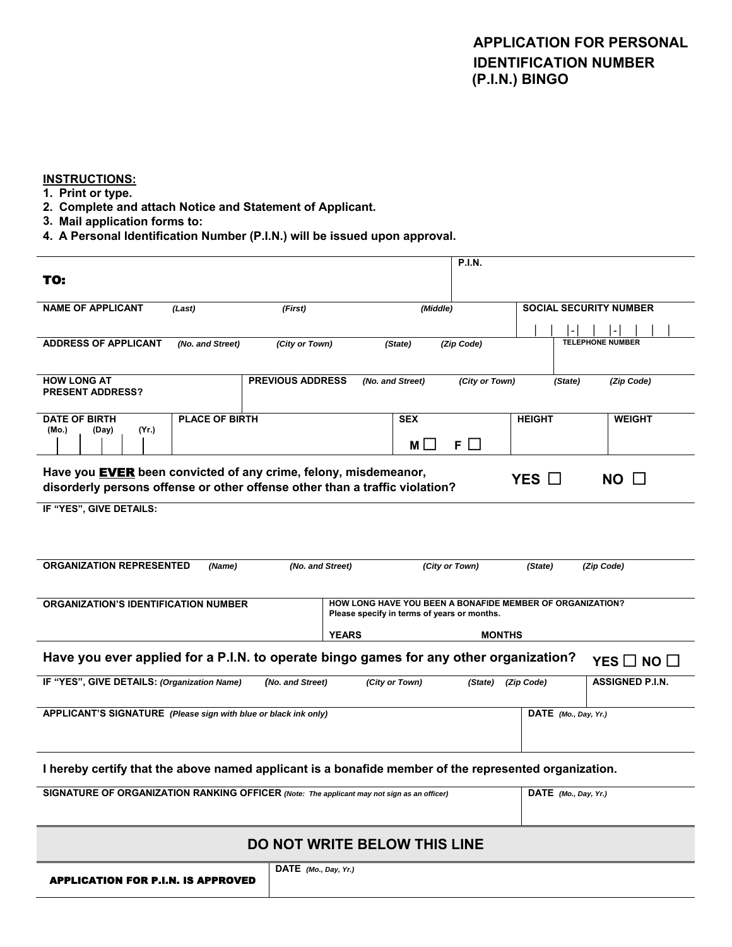## **APPLICATION FOR PERSONAL IDENTIFICATION NUMBER (P.I.N.) BINGO**

#### **INSTRUCTIONS:**

- **1. Print or type.**
- **2. Complete and attach Notice and Statement of Applicant.**
- **3. Mail application forms to:**
- **4. A Personal Identification Number (P.I.N.) will be issued upon approval.**

|                                                                                                                                                         |                       |                         |                  |                | <b>P.I.N.</b>  |                               |                         |                        |  |
|---------------------------------------------------------------------------------------------------------------------------------------------------------|-----------------------|-------------------------|------------------|----------------|----------------|-------------------------------|-------------------------|------------------------|--|
| TO:                                                                                                                                                     |                       |                         |                  |                |                |                               |                         |                        |  |
|                                                                                                                                                         |                       |                         |                  |                |                |                               |                         |                        |  |
| <b>NAME OF APPLICANT</b><br>(Last)<br>(First)                                                                                                           |                       |                         | (Middle)         |                |                | <b>SOCIAL SECURITY NUMBER</b> |                         |                        |  |
|                                                                                                                                                         |                       |                         |                  |                |                |                               |                         |                        |  |
| <b>ADDRESS OF APPLICANT</b>                                                                                                                             | (No. and Street)      | (City or Town)          |                  | (State)        | (Zip Code)     |                               | <b>TELEPHONE NUMBER</b> |                        |  |
|                                                                                                                                                         |                       |                         |                  |                |                |                               |                         |                        |  |
| <b>HOW LONG AT</b>                                                                                                                                      |                       | <b>PREVIOUS ADDRESS</b> | (No. and Street) |                | (City or Town) |                               | (State)                 | (Zip Code)             |  |
| <b>PRESENT ADDRESS?</b>                                                                                                                                 |                       |                         |                  |                |                |                               |                         |                        |  |
| <b>DATE OF BIRTH</b>                                                                                                                                    | <b>PLACE OF BIRTH</b> |                         |                  | <b>SEX</b>     |                | <b>HEIGHT</b>                 |                         | <b>WEIGHT</b>          |  |
| (Yr.)<br>(Mo.)<br>(Day)                                                                                                                                 |                       |                         |                  |                |                |                               |                         |                        |  |
|                                                                                                                                                         |                       |                         |                  | M L            | $F \Box$       |                               |                         |                        |  |
|                                                                                                                                                         |                       |                         |                  |                |                |                               |                         |                        |  |
| Have you <b>EVER</b> been convicted of any crime, felony, misdemeanor,<br>YES $\square$<br>$NO$ $\Box$                                                  |                       |                         |                  |                |                |                               |                         |                        |  |
| disorderly persons offense or other offense other than a traffic violation?                                                                             |                       |                         |                  |                |                |                               |                         |                        |  |
| IF "YES", GIVE DETAILS:                                                                                                                                 |                       |                         |                  |                |                |                               |                         |                        |  |
|                                                                                                                                                         |                       |                         |                  |                |                |                               |                         |                        |  |
|                                                                                                                                                         |                       |                         |                  |                |                |                               |                         |                        |  |
| <b>ORGANIZATION REPRESENTED</b>                                                                                                                         |                       |                         |                  |                |                |                               |                         |                        |  |
| (No. and Street)<br>(City or Town)<br>(Name)<br>(State)<br>(Zip Code)                                                                                   |                       |                         |                  |                |                |                               |                         |                        |  |
|                                                                                                                                                         |                       |                         |                  |                |                |                               |                         |                        |  |
| <b>ORGANIZATION'S IDENTIFICATION NUMBER</b><br>HOW LONG HAVE YOU BEEN A BONAFIDE MEMBER OF ORGANIZATION?<br>Please specify in terms of years or months. |                       |                         |                  |                |                |                               |                         |                        |  |
|                                                                                                                                                         |                       |                         |                  |                |                |                               |                         |                        |  |
|                                                                                                                                                         |                       |                         | <b>YEARS</b>     |                | <b>MONTHS</b>  |                               |                         |                        |  |
| Have you ever applied for a P.I.N. to operate bingo games for any other organization?<br>YES $\Box$ NO $\Box$                                           |                       |                         |                  |                |                |                               |                         |                        |  |
|                                                                                                                                                         |                       |                         |                  |                |                |                               |                         |                        |  |
| IF "YES", GIVE DETAILS: (Organization Name)                                                                                                             |                       | (No. and Street)        |                  | (City or Town) | (State)        | (Zip Code)                    |                         | <b>ASSIGNED P.I.N.</b> |  |
|                                                                                                                                                         |                       |                         |                  |                |                |                               |                         |                        |  |
| APPLICANT'S SIGNATURE (Please sign with blue or black ink only)                                                                                         |                       |                         |                  |                |                |                               | $DATE$ (Mo., Day, Yr.)  |                        |  |
|                                                                                                                                                         |                       |                         |                  |                |                |                               |                         |                        |  |
|                                                                                                                                                         |                       |                         |                  |                |                |                               |                         |                        |  |
| I hereby certify that the above named applicant is a bonafide member of the represented organization.                                                   |                       |                         |                  |                |                |                               |                         |                        |  |
|                                                                                                                                                         |                       |                         |                  |                |                |                               |                         |                        |  |
| SIGNATURE OF ORGANIZATION RANKING OFFICER (Note: The applicant may not sign as an officer)                                                              |                       |                         |                  |                |                |                               | DATE (Mo., Day, Yr.)    |                        |  |
|                                                                                                                                                         |                       |                         |                  |                |                |                               |                         |                        |  |
|                                                                                                                                                         |                       |                         |                  |                |                |                               |                         |                        |  |
| <b>DO NOT WRITE BELOW THIS LINE</b>                                                                                                                     |                       |                         |                  |                |                |                               |                         |                        |  |
|                                                                                                                                                         |                       | DATE (Mo., Day, Yr.)    |                  |                |                |                               |                         |                        |  |
| <b>APPLICATION FOR P.I.N. IS APPROVED</b>                                                                                                               |                       |                         |                  |                |                |                               |                         |                        |  |